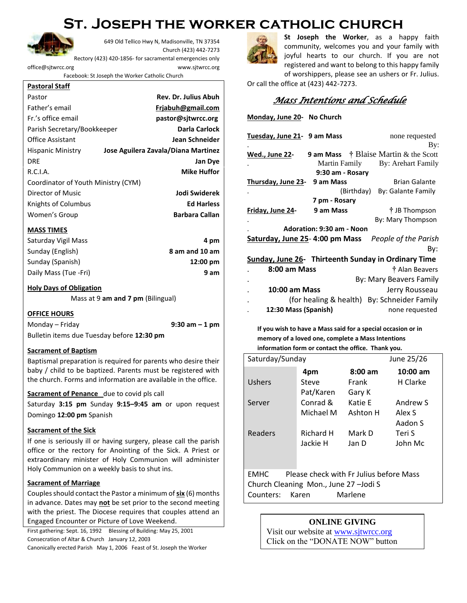# **St. Joseph the worker catholic church**



649 Old Tellico Hwy N, Madisonville, TN 37354 Church (423) 442-7273

Rectory (423) 420-1856- for sacramental emergencies only

[office@sjtwrcc.org](mailto:office@sjtwrcc.org) www.sjtwrcc.org

Facebook: St Joseph the Worker Catholic Church

#### **Pastoral Staff**

| Pastor                              | <b>Rev. Dr. Julius Abuh</b>         |
|-------------------------------------|-------------------------------------|
| Father's email                      | Friabuh@gmail.com                   |
| Fr.'s office email                  | pastor@sitwrcc.org                  |
| Parish Secretary/Bookkeeper         | Darla Carlock                       |
| <b>Office Assistant</b>             | <b>Jean Schneider</b>               |
| Hispanic Ministry                   | Jose Aguilera Zavala/Diana Martinez |
| DRE                                 | <b>Jan Dye</b>                      |
| R.C.I.A.                            | <b>Mike Huffor</b>                  |
| Coordinator of Youth Ministry (CYM) |                                     |
| Director of Music                   | Jodi Swiderek                       |
| Knights of Columbus                 | <b>Ed Harless</b>                   |
| Women's Group                       | <b>Barbara Callan</b>               |

#### **MASS TIMES**

| Saturday Vigil Mass   | 4 pm               |
|-----------------------|--------------------|
| Sunday (English)      | 8 am and 10 am     |
| Sunday (Spanish)      | $12:00 \text{ pm}$ |
| Daily Mass (Tue -Fri) | 9 am               |

#### **Holy Days of Obligation**

Mass at 9 **am and 7 pm** (Bilingual)

#### **OFFICE HOURS**

Monday – Friday **9:30 am – 1 pm** Bulletin items due Tuesday before **12:30 pm**

#### **Sacrament of Baptism**

Baptismal preparation is required for parents who desire their baby / child to be baptized. Parents must be registered with the church. Forms and information are available in the office.

#### **Sacrament of Penance** due to covid pls call

Saturday **3:15 pm** Sunday **9:15–9:45 am** or upon request Domingo **12:00 pm** Spanish

#### **Sacrament of the Sick**

If one is seriously ill or having surgery, please call the parish office or the rectory for Anointing of the Sick. A Priest or extraordinary minister of Holy Communion will administer Holy Communion on a weekly basis to shut ins.

#### **Sacrament of Marriage**

Couples should contact the Pastor a minimum of **six** (6) months in advance. Dates may **not** be set prior to the second meeting with the priest. The Diocese requires that couples attend an Engaged Encounter or Picture of Love Weekend.

First gathering: Sept. 16, 1992 Blessing of Building: May 25, 2001 Consecration of Altar & Church January 12, 2003

Canonically erected Parish May 1, 2006 Feast of St. Joseph the Worker



**St Joseph the Worker**, as a happy faith community, welcomes you and your family with joyful hearts to our church. If you are not registered and want to belong to this happy family of worshippers, please see an ushers or Fr. Julius.

Or call the office at (423) 442-7273.

**Monday, June 20- No Church** 

# *Mass Intentions and Schedule*

| Tuesday, June 21 - 9 am Mass<br>none requested<br>By:<br><b>9 am Mass</b> $\dot{\uparrow}$ Blaise Martin & the Scott<br>Wed., June 22-<br>Martin Family<br>By: Arehart Family<br>9:30 am - Rosary<br>9 am Mass<br><b>Brian Galante</b><br><u>Thursday, June 23-</u><br>By: Galante Family<br>(Birthday)<br>7 pm - Rosary<br>† JB Thompson<br>Friday, June 24-<br>9 am Mass<br>By: Mary Thompson<br>Adoration: 9:30 am - Noon<br>Saturday, June 25-4:00 pm Mass<br>People of the Parish<br>Bv:<br>Sunday, June 26- Thirteenth Sunday in Ordinary Time<br>8:00 am Mass<br>† Alan Beavers | <b>IVIOHUGY, JUNE 20-TVO CHUICH</b> |  |                         |  |  |
|----------------------------------------------------------------------------------------------------------------------------------------------------------------------------------------------------------------------------------------------------------------------------------------------------------------------------------------------------------------------------------------------------------------------------------------------------------------------------------------------------------------------------------------------------------------------------------------|-------------------------------------|--|-------------------------|--|--|
|                                                                                                                                                                                                                                                                                                                                                                                                                                                                                                                                                                                        |                                     |  |                         |  |  |
|                                                                                                                                                                                                                                                                                                                                                                                                                                                                                                                                                                                        |                                     |  |                         |  |  |
|                                                                                                                                                                                                                                                                                                                                                                                                                                                                                                                                                                                        |                                     |  |                         |  |  |
|                                                                                                                                                                                                                                                                                                                                                                                                                                                                                                                                                                                        |                                     |  |                         |  |  |
|                                                                                                                                                                                                                                                                                                                                                                                                                                                                                                                                                                                        |                                     |  |                         |  |  |
|                                                                                                                                                                                                                                                                                                                                                                                                                                                                                                                                                                                        |                                     |  |                         |  |  |
|                                                                                                                                                                                                                                                                                                                                                                                                                                                                                                                                                                                        |                                     |  |                         |  |  |
|                                                                                                                                                                                                                                                                                                                                                                                                                                                                                                                                                                                        |                                     |  |                         |  |  |
|                                                                                                                                                                                                                                                                                                                                                                                                                                                                                                                                                                                        |                                     |  |                         |  |  |
|                                                                                                                                                                                                                                                                                                                                                                                                                                                                                                                                                                                        |                                     |  |                         |  |  |
|                                                                                                                                                                                                                                                                                                                                                                                                                                                                                                                                                                                        |                                     |  |                         |  |  |
|                                                                                                                                                                                                                                                                                                                                                                                                                                                                                                                                                                                        |                                     |  |                         |  |  |
|                                                                                                                                                                                                                                                                                                                                                                                                                                                                                                                                                                                        |                                     |  |                         |  |  |
|                                                                                                                                                                                                                                                                                                                                                                                                                                                                                                                                                                                        |                                     |  |                         |  |  |
|                                                                                                                                                                                                                                                                                                                                                                                                                                                                                                                                                                                        |                                     |  |                         |  |  |
|                                                                                                                                                                                                                                                                                                                                                                                                                                                                                                                                                                                        |                                     |  | By: Mary Beavers Family |  |  |
| 10:00 am Mass<br>Jerry Rousseau                                                                                                                                                                                                                                                                                                                                                                                                                                                                                                                                                        |                                     |  |                         |  |  |
| (for healing & health) By: Schneider Family                                                                                                                                                                                                                                                                                                                                                                                                                                                                                                                                            |                                     |  |                         |  |  |

**If you wish to have a Mass said for a special occasion or in memory of a loved one, complete a Mass Intentions information form or contact the office. Thank you.**

. **12:30 Mass (Spanish)** none requested

| Saturday/Sunday |           |           | June 25/26 |
|-----------------|-----------|-----------|------------|
|                 | 4pm       | $8:00$ am | $10:00$ am |
| <b>Ushers</b>   | Steve     | Frank     | H Clarke   |
|                 | Pat/Karen | Gary K    |            |
| Server          | Conrad &  | Katie E   | Andrew S   |
|                 | Michael M | Ashton H  | Alex S     |
|                 |           |           | Aadon S    |
| Readers         | Richard H | Mark D    | Teri S     |
|                 | Jackie H  | Jan D     | John Mc    |
|                 |           |           |            |
|                 |           |           |            |

EMHC Please check with Fr Julius before Mass Church Cleaning Mon., June 27 –Jodi S Counters: Karen Marlene

## **ONLINE GIVING**

Visit our website at [www.sjtwrcc.org](http://www.sjtwrcc.org/) Click on the "DONATE NOW" button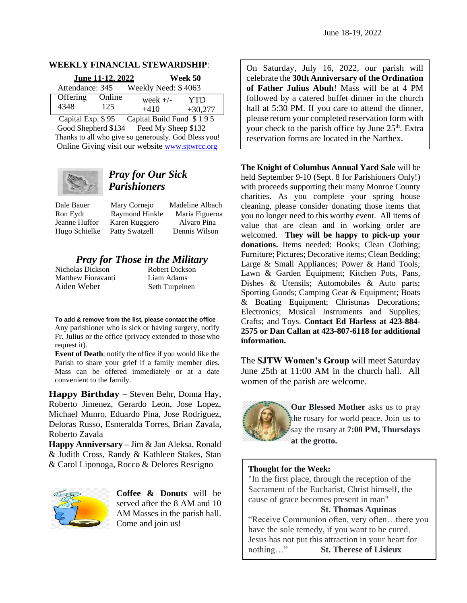### **WEEKLY FINANCIAL STEWARDSHIP**:

| June 11-12, 2022 |        |                     | Week 50    |  |
|------------------|--------|---------------------|------------|--|
| Attendance: 345  |        | Weekly Need: \$4063 |            |  |
| Offering         | Online | week $+/-$          | <b>YTD</b> |  |
| 4348             | 125    | $+410$              | $+30,277$  |  |

Capital Exp. \$ 95 Capital Build Fund \$ 1 9 5 Good Shepherd \$134 Feed My Sheep \$132 Thanks to all who give so generously. God Bless you! Online Giving visit our website [www.sjtwrcc.org](http://www.sjtwrcc.org/)



# *Pray for Our Sick Parishioners*

Dale Bauer Mary Cornejo Madeline Albach Ron Eydt Raymond Hinkle Maria Figueroa Jeanne Huffor Karen Ruggiero Alvaro Pina Hugo Schielke Patty Swatzell Dennis Wilson

# *Pray for Those in the Military*<br>las Dickson **Robert Dickson**

Nicholas Dickson Matthew Fioravanti Liam Adams Aiden Weber Seth Turpeinen

**To add & remove from the list, please contact the office** Any parishioner who is sick or having surgery, notify Fr. Julius or the office (privacy extended to those who request it).

**Event of Death**: notify the office if you would like the Parish to share your grief if a family member dies. Mass can be offered immediately or at a date convenient to the family.

**Happy Birthday** – Steven Behr, Donna Hay, Roberto Jimenez, Gerardo Leon, Jose Lopez, Michael Munro, Eduardo Pina, Jose Rodriguez, Deloras Russo, Esmeralda Torres, Brian Zavala, Roberto Zavala

**Happy Anniversary –** Jim & Jan Aleksa, Ronald & Judith Cross, Randy & Kathleen Stakes, Stan & Carol Liponoga, Rocco & Delores Rescigno



**Coffee & Donuts** will be served after the 8 AM and 10 AM Masses in the parish hall. Come and join us!

On Saturday, July 16, 2022, our parish will celebrate the **30th Anniversary of the Ordination of Father Julius Abuh**! Mass will be at 4 PM followed by a catered buffet dinner in the church hall at 5:30 PM. If you care to attend the dinner, please return your completed reservation form with your check to the parish office by June  $25<sup>th</sup>$ . Extra reservation forms are located in the Narthex.

**The Knight of Columbus Annual Yard Sale** will be held September 9-10 (Sept. 8 for Parishioners Only!) with proceeds supporting their many Monroe County charities. As you complete your spring house cleaning, please consider donating those items that you no longer need to this worthy event. All items of value that are clean and in working order are welcomed. **They will be happy to pick-up your**  donations. Items needed: Books; Clean Clothing; Furniture; Pictures; Decorative items; Clean Bedding; Large & Small Appliances; Power & Hand Tools; Lawn & Garden Equipment; Kitchen Pots, Pans, Dishes & Utensils; Automobiles & Auto parts; Sporting Goods; Camping Gear & Equipment; Boats & Boating Equipment; Christmas Decorations; Electronics; Musical Instruments and Supplies; Crafts; and Toys. **Contact Ed Harless at 423-884- 2575 or Dan Callan at 423-807-6118 for additional information.**

The **SJTW Women's Group** will meet Saturday June 25th at 11:00 AM in the church hall. All women of the parish are welcome.



**Our Blessed Mother** asks us to pray the rosary for world peace. Join us to say the rosary at **7:00 PM, Thursdays at the grotto.** 

# **Thought for the Week:**

"In the first place, through the reception of the Sacrament of the Eucharist, Christ himself, the cause of grace becomes present in man"

## **St. Thomas Aquinas**

"Receive Communion often, very often…there you have the sole remedy, if you want to be cured. Jesus has not put this attraction in your heart for nothing…" **St. Therese of Lisieux**